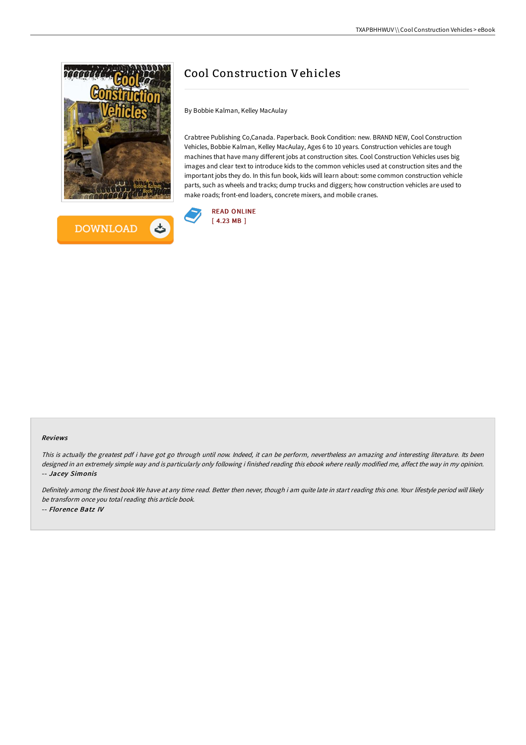



## Cool Construction Vehicles

By Bobbie Kalman, Kelley MacAulay

Crabtree Publishing Co,Canada. Paperback. Book Condition: new. BRAND NEW, Cool Construction Vehicles, Bobbie Kalman, Kelley MacAulay, Ages 6 to 10 years. Construction vehicles are tough machines that have many different jobs at construction sites. Cool Construction Vehicles uses big images and clear text to introduce kids to the common vehicles used at construction sites and the important jobs they do. In this fun book, kids will learn about: some common construction vehicle parts, such as wheels and tracks; dump trucks and diggers; how construction vehicles are used to make roads; front-end loaders, concrete mixers, and mobile cranes.



## Reviews

This is actually the greatest pdf i have got go through until now. Indeed, it can be perform, nevertheless an amazing and interesting literature. Its been designed in an extremely simple way and is particularly only following i finished reading this ebook where really modified me, affect the way in my opinion. -- Jacey Simonis

Definitely among the finest book We have at any time read. Better then never, though i am quite late in start reading this one. Your lifestyle period will likely be transform once you total reading this article book. -- Florence Batz IV